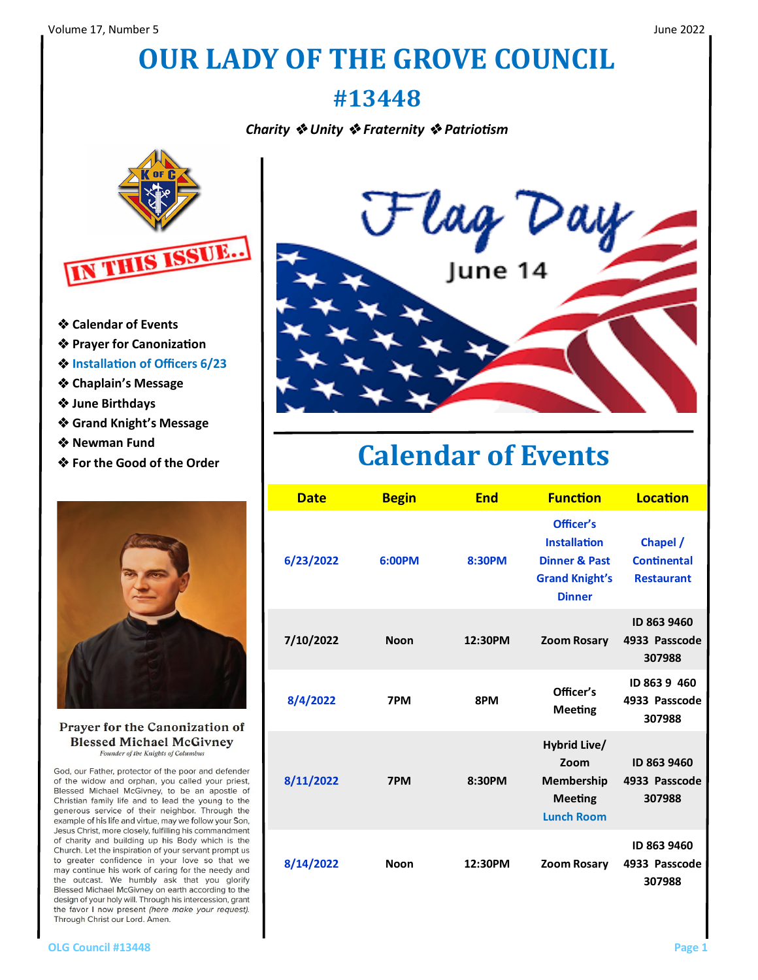## **OUR LADY OF THE GROVE COUNCIL**

#### **#13448**

*Charity* ❖ *Unity* ❖ *Fraternity* ❖ *Patriotism*



- ❖ **Calendar of Events**
- ❖ **Prayer for Canonization**
- ❖ **Installation of Officers 6/23**
- ❖ **Chaplain's Message**
- ❖ **June Birthdays**
- ❖ **Grand Knight's Message**
- ❖ **Newman Fund**
- ❖ **For the Good of the Order**



Prayer for the Canonization of **Blessed Michael McGivney** Founder of the Knights of Columbus

God, our Father, protector of the poor and defender of the widow and orphan, you called your priest, Blessed Michael McGivney, to be an apostle of Christian family life and to lead the young to the generous service of their neighbor. Through the example of his life and virtue, may we follow your Son, Jesus Christ, more closely, fulfilling his commandment of charity and building up his Body which is the Church. Let the inspiration of your servant prompt us to greater confidence in your love so that we may continue his work of caring for the needy and the outcast. We humbly ask that you glorify Blessed Michael McGivney on earth according to the design of your holy will. Through his intercession, grant the favor I now present (here make your request). Through Christ our Lord. Amen.



#### **Calendar of Events**

| <b>Date</b> | <b>Begin</b> | <b>End</b> | <b>Function</b>                                                                                        | Location                                            |
|-------------|--------------|------------|--------------------------------------------------------------------------------------------------------|-----------------------------------------------------|
| 6/23/2022   | 6:00PM       | 8:30PM     | Officer's<br><b>Installation</b><br><b>Dinner &amp; Past</b><br><b>Grand Knight's</b><br><b>Dinner</b> | Chapel /<br><b>Continental</b><br><b>Restaurant</b> |
| 7/10/2022   | <b>Noon</b>  | 12:30PM    | <b>Zoom Rosary</b>                                                                                     | ID 863 9460<br>4933 Passcode<br>307988              |
| 8/4/2022    | 7PM          | 8PM        | Officer's<br><b>Meeting</b>                                                                            | ID 863 9 460<br>4933 Passcode<br>307988             |
| 8/11/2022   | 7PM          | 8:30PM     | Hybrid Live/<br>Zoom<br>Membership<br><b>Meeting</b><br><b>Lunch Room</b>                              | ID 863 9460<br>4933 Passcode<br>307988              |
| 8/14/2022   | <b>Noon</b>  | 12:30PM    | Zoom Rosary                                                                                            | ID 863 9460<br>4933 Passcode<br>307988              |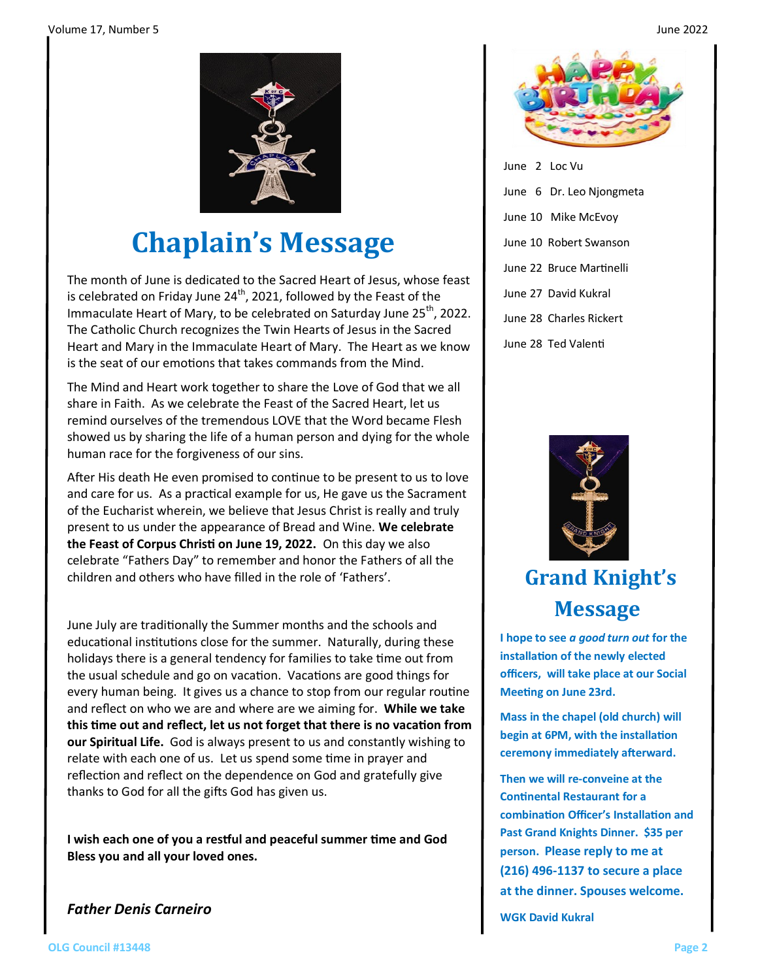

## **Chaplain's Message**

The month of June is dedicated to the Sacred Heart of Jesus, whose feast is celebrated on Friday June  $24<sup>th</sup>$ , 2021, followed by the Feast of the Immaculate Heart of Mary, to be celebrated on Saturday June 25<sup>th</sup>, 2022. The Catholic Church recognizes the Twin Hearts of Jesus in the Sacred Heart and Mary in the Immaculate Heart of Mary. The Heart as we know is the seat of our emotions that takes commands from the Mind.

The Mind and Heart work together to share the Love of God that we all share in Faith. As we celebrate the Feast of the Sacred Heart, let us remind ourselves of the tremendous LOVE that the Word became Flesh showed us by sharing the life of a human person and dying for the whole human race for the forgiveness of our sins.

After His death He even promised to continue to be present to us to love and care for us. As a practical example for us, He gave us the Sacrament of the Eucharist wherein, we believe that Jesus Christ is really and truly present to us under the appearance of Bread and Wine. **We celebrate the Feast of Corpus Christi on June 19, 2022.** On this day we also celebrate "Fathers Day" to remember and honor the Fathers of all the children and others who have filled in the role of 'Fathers'.

June July are traditionally the Summer months and the schools and educational institutions close for the summer. Naturally, during these holidays there is a general tendency for families to take time out from the usual schedule and go on vacation. Vacations are good things for every human being. It gives us a chance to stop from our regular routine and reflect on who we are and where are we aiming for. **While we take this time out and reflect, let us not forget that there is no vacation from our Spiritual Life.** God is always present to us and constantly wishing to relate with each one of us. Let us spend some time in prayer and reflection and reflect on the dependence on God and gratefully give thanks to God for all the gifts God has given us.

**I wish each one of you a restful and peaceful summer time and God Bless you and all your loved ones.**

*Father Denis Carneiro*



| June 2 Loc Vu       |                          |
|---------------------|--------------------------|
|                     | June 6 Dr. Leo Njongmeta |
|                     | June 10 Mike McEvov      |
|                     | June 10 Robert Swanson   |
|                     | June 22 Bruce Martinelli |
|                     | June 27 David Kukral     |
|                     | June 28 Charles Rickert  |
| June 28 Ted Valenti |                          |



#### **Grand Knight's Message**

**I hope to see** *a good turn out* **for the installation of the newly elected officers, will take place at our Social Meeting on June 23rd.** 

**Mass in the chapel (old church) will begin at 6PM, with the installation ceremony immediately afterward.**

**Then we will re-conveine at the Continental Restaurant for a combination Officer's Installation and Past Grand Knights Dinner. \$35 per person. Please reply to me at (216) 496-1137 to secure a place at the dinner. Spouses welcome.**

**WGK David Kukral**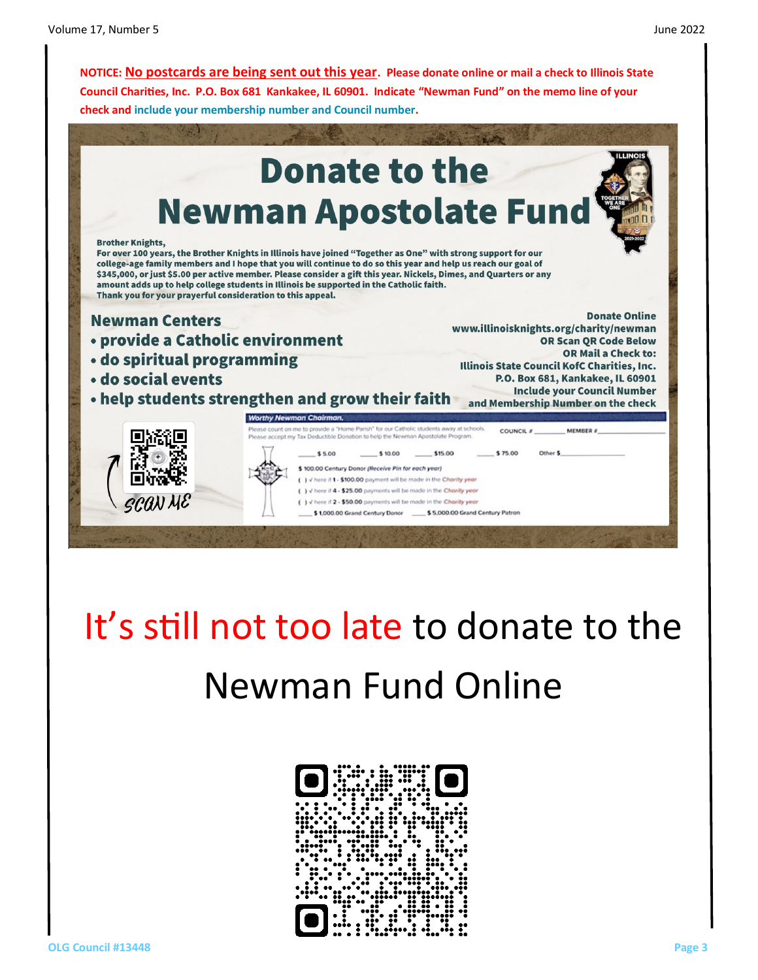**NOTICE: No postcards are being sent out this year. Please donate online or mail a check to Illinois State Council Charities, Inc. P.O. Box 681 Kankakee, IL 60901. Indicate "Newman Fund" on the memo line of your check and include your membership number and Council number.**



# It's still not too late to donate to the Newman Fund Online